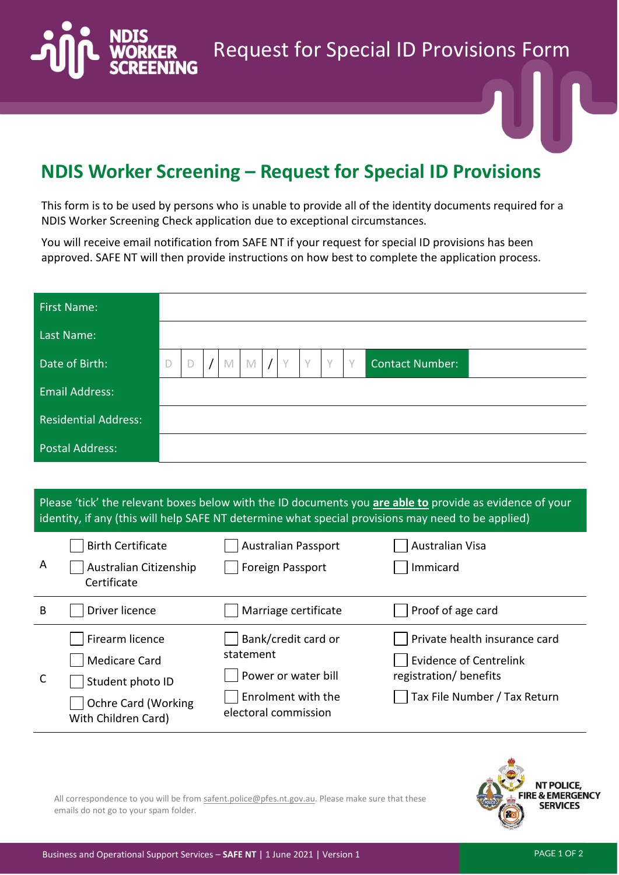Request for Special ID Provisions Form

## **NDIS Worker Screening – Request for Special ID Provisions**

This form is to be used by persons who is unable to provide all of the identity documents required for a NDIS Worker Screening Check application due to exceptional circumstances.

You will receive email notification from SAFE NT if your request for special ID provisions has been approved. SAFE NT will then provide instructions on how best to complete the application process.

| <b>First Name:</b>          |              |  |             |   |  |           |           |                        |  |
|-----------------------------|--------------|--|-------------|---|--|-----------|-----------|------------------------|--|
| Last Name:                  |              |  |             |   |  |           |           |                        |  |
| Date of Birth:              | $\mathsf{D}$ |  | $\mathbb M$ | M |  | $\sqrt{}$ | $\sqrt{}$ | <b>Contact Number:</b> |  |
| <b>Email Address:</b>       |              |  |             |   |  |           |           |                        |  |
| <b>Residential Address:</b> |              |  |             |   |  |           |           |                        |  |
| <b>Postal Address:</b>      |              |  |             |   |  |           |           |                        |  |

## Please 'tick' the relevant boxes below with the ID documents you **are able to** provide as evidence of your identity, if any (this will help SAFE NT determine what special provisions may need to be applied)

| A | <b>Birth Certificate</b><br>Australian Citizenship<br>Certificate                                                | <b>Australian Passport</b><br><b>Foreign Passport</b>                                                 | Australian Visa<br>Immicard                                                                                              |
|---|------------------------------------------------------------------------------------------------------------------|-------------------------------------------------------------------------------------------------------|--------------------------------------------------------------------------------------------------------------------------|
| B | Driver licence                                                                                                   | Marriage certificate                                                                                  | Proof of age card                                                                                                        |
| C | Firearm licence<br><b>Medicare Card</b><br>Student photo ID<br><b>Ochre Card (Working</b><br>With Children Card) | Bank/credit card or<br>statement<br>Power or water bill<br>Enrolment with the<br>electoral commission | Private health insurance card<br><b>Evidence of Centrelink</b><br>registration/ benefits<br>Tax File Number / Tax Return |



All correspondence to you will be from [safent.police@pfes.nt.gov.au.](mailto:safent.police@pfes.nt.gov.au) Please make sure that these emails do not go to your spam folder.